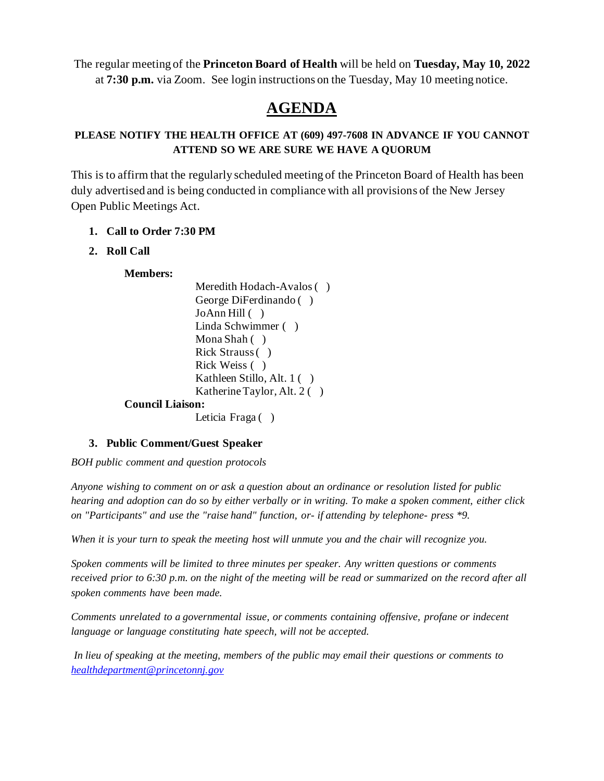The regular meeting of the **Princeton Board of Health** will be held on **Tuesday, May 10, 2022** at **7:30 p.m.** via Zoom. See login instructions on the Tuesday, May 10 meeting notice.

# **AGENDA**

# **PLEASE NOTIFY THE HEALTH OFFICE AT (609) 497-7608 IN ADVANCE IF YOU CANNOT ATTEND SO WE ARE SURE WE HAVE A QUORUM**

This is to affirm that the regularly scheduled meeting of the Princeton Board of Health has been duly advertised and is being conducted in compliance with all provisions of the New Jersey Open Public Meetings Act.

## **1. Call to Order 7:30 PM**

## **2. Roll Call**

#### **Members:**

Meredith Hodach-Avalos ( ) George DiFerdinando ( ) JoAnn Hill ( ) Linda Schwimmer ( ) Mona Shah ( ) Rick Strauss ( ) Rick Weiss ( ) Kathleen Stillo, Alt. 1 ( ) Katherine Taylor, Alt. 2 ( ) **Council Liaison:** Leticia Fraga ()

#### **3. Public Comment/Guest Speaker**

*BOH public comment and question protocols*

*Anyone wishing to comment on or ask a question about an ordinance or resolution listed for public hearing and adoption can do so by either verbally or in writing. To make a spoken comment, either click on "Participants" and use the "raise hand" function, or- if attending by telephone- press \*9.* 

*When it is your turn to speak the meeting host will unmute you and the chair will recognize you.*

*Spoken comments will be limited to three minutes per speaker. Any written questions or comments received prior to 6:30 p.m. on the night of the meeting will be read or summarized on the record after all spoken comments have been made.*

*Comments unrelated to a governmental issue, or comments containing offensive, profane or indecent language or language constituting hate speech, will not be accepted.*

*In lieu of speaking at the meeting, members of the public may email their questions or comments to [healthdepartment@princetonnj.gov](mailto:healthdepartment@princetonnj.gov)*